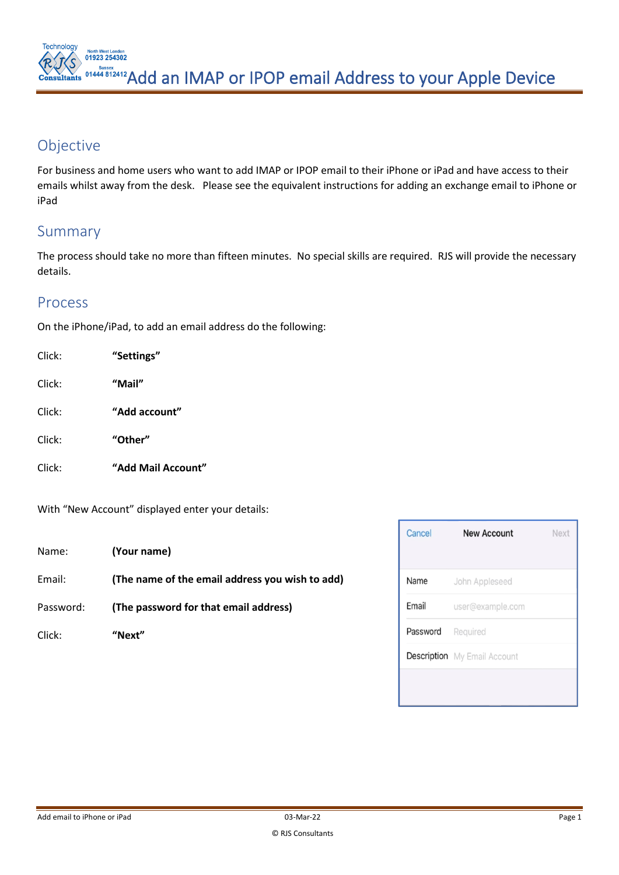**North West London<br>01923 254302**  $\sum_{n=1000}^{\text{Susses}}$  01444 812412 Add an IMAP or IPOP email Address to your Apple Device

## Objective

For business and home users who want to add IMAP or IPOP email to their iPhone or iPad and have access to their emails whilst away from the desk. Please see the equivalent instructions for adding an exchange email to iPhone or iPad

## Summary

The process should take no more than fifteen minutes. No special skills are required. RJS will provide the necessary details.

## Process

On the iPhone/iPad, to add an email address do the following:

| Click: | "Settings"         |
|--------|--------------------|
| Click: | "Mail"             |
| Click: | "Add account"      |
| Click: | "Other"            |
| Click: | "Add Mail Account" |

With "New Account" displayed enter your details:

| Name: | (Your name) |
|-------|-------------|
|-------|-------------|

Email: **(The name of the email address you wish to add)**

Password: **(The password for that email address)**

Click: **"Next"**

| Cancel   | <b>New Account</b>                  | Next |
|----------|-------------------------------------|------|
| Name     | John Appleseed                      |      |
| Email    | user@example.com                    |      |
| Password | Required                            |      |
|          | <b>Description</b> My Email Account |      |
|          |                                     |      |